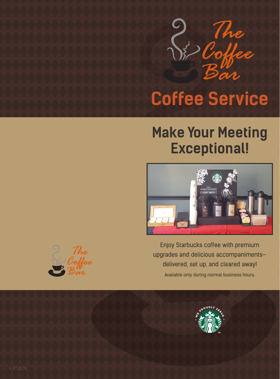

## **Coffee Service**

### **Make Your Meeting Exceptional!**



Enjoy Starbucks coffee with premium upgrades and delicious accompaniments delivered, set up, and cleared away! Available only during normal business hours.